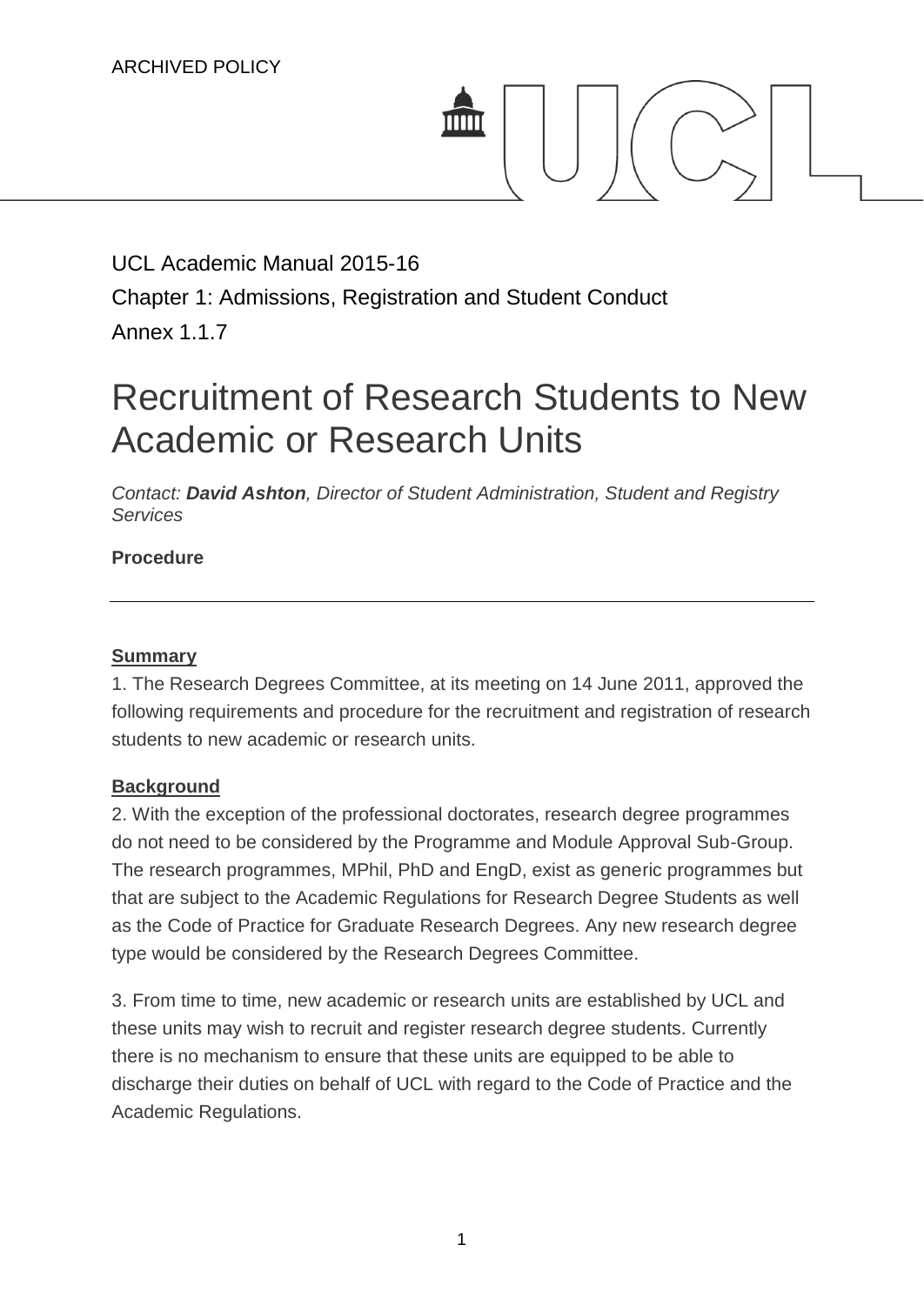

## UCL Academic Manual 2015-16 Chapter 1: Admissions, Registration and Student Conduct Annex 1.1.7

# Recruitment of Research Students to New Academic or Research Units

*Contact: [David Ashton](mailto:d.ashton@ucl.ac.uk), Director of Student Administration, Student and Registry Services*

### **Procedure**

#### **Summary**

1. The Research Degrees Committee, at its meeting on 14 June 2011, approved the following requirements and procedure for the recruitment and registration of research students to new academic or research units.

#### **Background**

2. With the exception of the professional doctorates, research degree programmes do not need to be considered by the Programme and Module Approval Sub-Group. The research programmes, MPhil, PhD and EngD, exist as generic programmes but that are subject to the Academic Regulations for Research Degree Students as well as the Code of Practice for Graduate Research Degrees. Any new research degree type would be considered by the Research Degrees Committee.

3. From time to time, new academic or research units are established by UCL and these units may wish to recruit and register research degree students. Currently there is no mechanism to ensure that these units are equipped to be able to discharge their duties on behalf of UCL with regard to the Code of Practice and the Academic Regulations.